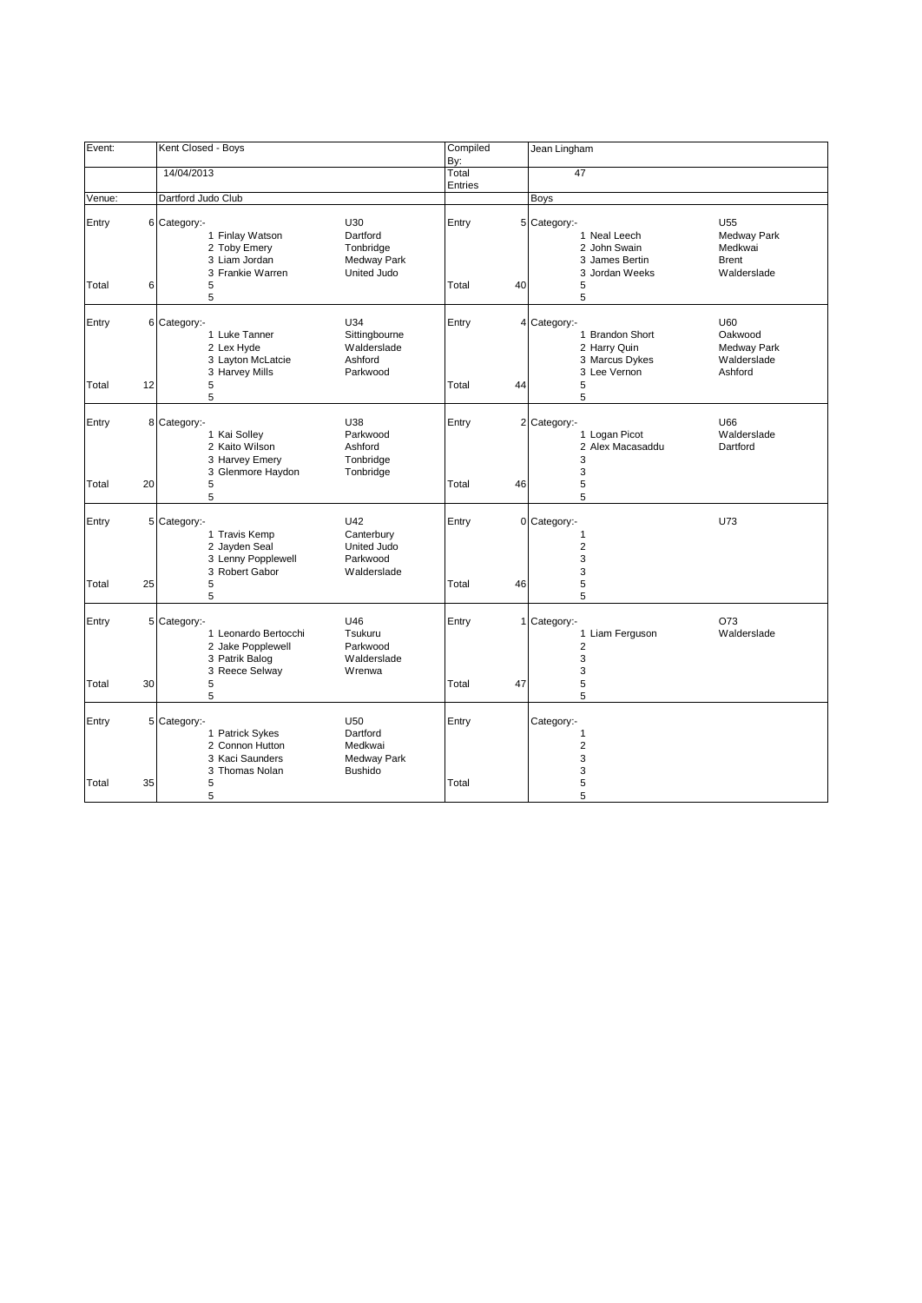| Event:         |    | Kent Closed - Boys                                                                            |                                                             | Compiled<br>By:  |    | Jean Lingham                                                                                                        |                                                  |
|----------------|----|-----------------------------------------------------------------------------------------------|-------------------------------------------------------------|------------------|----|---------------------------------------------------------------------------------------------------------------------|--------------------------------------------------|
|                |    | 14/04/2013                                                                                    |                                                             | Total<br>Entries |    | 47                                                                                                                  |                                                  |
| Venue:         |    | Dartford Judo Club                                                                            |                                                             |                  |    | Boys                                                                                                                |                                                  |
| Entry          |    | 6 Category:-<br>1 Finlay Watson<br>2 Toby Emery<br>3 Liam Jordan<br>3 Frankie Warren          | U30<br>Dartford<br>Tonbridge<br>Medway Park<br>United Judo  | Entry            |    | 5 Category:-<br>U <sub>55</sub><br>1 Neal Leech<br>2 John Swain<br>3 James Bertin<br><b>Brent</b><br>3 Jordan Weeks | Medway Park<br>Medkwai<br>Walderslade            |
| Total          | 6  | 5<br>5                                                                                        |                                                             | Total            | 40 | 5<br>5                                                                                                              |                                                  |
| Entry<br>Total | 12 | 6 Category:-<br>1 Luke Tanner<br>2 Lex Hyde<br>3 Layton McLatcie<br>3 Harvey Mills<br>5<br>5  | U34<br>Sittingbourne<br>Walderslade<br>Ashford<br>Parkwood  | Entry<br>Total   | 44 | U60<br>4 Category:-<br>1 Brandon Short<br>2 Harry Quin<br>3 Marcus Dykes<br>3 Lee Vernon<br>5<br>5                  | Oakwood<br>Medway Park<br>Walderslade<br>Ashford |
| Entry          |    | 8 Category:-<br>1 Kai Solley<br>2 Kaito Wilson<br>3 Harvey Emery                              | U38<br>Parkwood<br>Ashford<br>Tonbridge                     | Entry            |    | 2 Category:-<br>U66<br>1 Logan Picot<br>2 Alex Macasaddu<br>3                                                       | Walderslade<br>Dartford                          |
| Total          | 20 | 3 Glenmore Haydon<br>5<br>5                                                                   | Tonbridge                                                   | Total            | 46 | 3<br>5<br>5                                                                                                         |                                                  |
| Entry          |    | 5 Category:-<br>1 Travis Kemp<br>2 Jayden Seal<br>3 Lenny Popplewell<br>3 Robert Gabor        | U42<br>Canterbury<br>United Judo<br>Parkwood<br>Walderslade | Entry            |    | 0 Category:-<br>U73<br>$\mathbf{1}$<br>$\overline{2}$<br>3<br>3                                                     |                                                  |
| Total          | 25 | 5<br>5                                                                                        |                                                             | Total            | 46 | 5<br>5                                                                                                              |                                                  |
| Entry          |    | 5 Category:-<br>1 Leonardo Bertocchi<br>2 Jake Popplewell<br>3 Patrik Balog<br>3 Reece Selway | U46<br>Tsukuru<br>Parkwood<br>Walderslade<br>Wrenwa         | Entry            |    | O73<br>1 Category:-<br>1 Liam Ferguson<br>$\overline{2}$<br>3<br>3                                                  | Walderslade                                      |
| Total          | 30 | 5<br>5                                                                                        |                                                             | Total            | 47 | 5<br>5                                                                                                              |                                                  |
| Entry          |    | 5 Category -<br>1 Patrick Sykes<br>2 Connon Hutton<br>3 Kaci Saunders<br>3 Thomas Nolan       | U50<br>Dartford<br>Medkwai<br>Medway Park<br><b>Bushido</b> | Entry            |    | Category:-<br>$\mathbf{1}$<br>$\overline{2}$<br>3<br>3                                                              |                                                  |
| Total          | 35 | 5<br>5                                                                                        |                                                             | Total            |    | 5<br>5                                                                                                              |                                                  |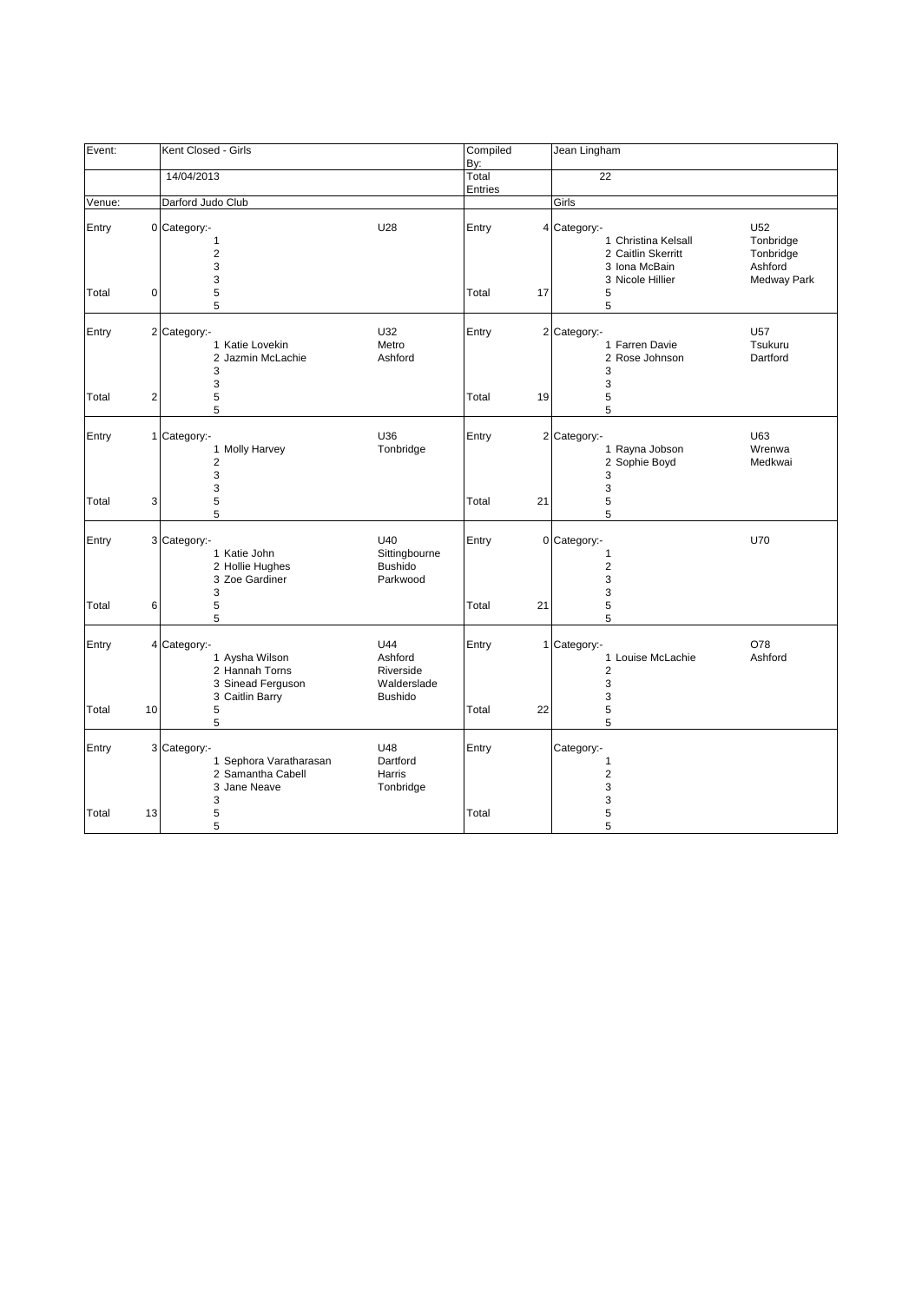| Event:         |                | Kent Closed - Girls                                                                      |                                                              | Compiled<br>By:  |    | Jean Lingham                                                                                        |                                                                |
|----------------|----------------|------------------------------------------------------------------------------------------|--------------------------------------------------------------|------------------|----|-----------------------------------------------------------------------------------------------------|----------------------------------------------------------------|
|                |                | 14/04/2013                                                                               |                                                              | Total<br>Entries |    | 22                                                                                                  |                                                                |
| Venue:         |                | Darford Judo Club                                                                        |                                                              |                  |    | Girls                                                                                               |                                                                |
| Entry<br>Total | 0              | 0 Category:-<br>1<br>2<br>3<br>3<br>5                                                    | U28                                                          | Entry<br>Total   | 17 | 4 Category:-<br>1 Christina Kelsall<br>2 Caitlin Skerritt<br>3 Iona McBain<br>3 Nicole Hillier<br>5 | U52<br>Tonbridge<br>Tonbridge<br>Ashford<br><b>Medway Park</b> |
| Entry<br>Total | $\overline{c}$ | 5<br>2 Category:-<br>1 Katie Lovekin<br>2 Jazmin McLachie<br>3<br>3<br>5                 | U32<br>Metro<br>Ashford                                      | Entry<br>Total   | 19 | 5<br>2 Category:-<br>1 Farren Davie<br>2 Rose Johnson<br>3<br>3<br>5                                | <b>U57</b><br>Tsukuru<br>Dartford                              |
|                |                | 5                                                                                        |                                                              |                  |    | 5                                                                                                   |                                                                |
| Entry          |                | 1 Category:-<br>1 Molly Harvey<br>$\overline{2}$<br>3<br>3                               | U36<br>Tonbridge                                             | Entry            |    | 2 Category:-<br>1 Rayna Jobson<br>2 Sophie Boyd<br>3<br>3                                           | U63<br>Wrenwa<br>Medkwai                                       |
| Total          | 3              | 5<br>5                                                                                   |                                                              | Total            | 21 | 5<br>5                                                                                              |                                                                |
| Entry          |                | 3 Category:-<br>1 Katie John<br>2 Hollie Hughes<br>3 Zoe Gardiner<br>3                   | U40<br>Sittingbourne<br><b>Bushido</b><br>Parkwood           | Entry            |    | 0 Category:-<br>1<br>$\overline{2}$<br>3<br>3                                                       | U70                                                            |
| Total          | 6              | 5<br>5                                                                                   |                                                              | Total            | 21 | 5<br>5                                                                                              |                                                                |
| Entry          |                | 4 Category:-<br>1 Aysha Wilson<br>2 Hannah Torns<br>3 Sinead Ferguson<br>3 Caitlin Barry | U44<br>Ashford<br>Riverside<br>Walderslade<br><b>Bushido</b> | Entry            |    | 1 Category:-<br>1 Louise McLachie<br>$\overline{2}$<br>3<br>3                                       | O78<br>Ashford                                                 |
| Total          | 10             | 5<br>5                                                                                   |                                                              | Total            | 22 | 5<br>5                                                                                              |                                                                |
| Entry          |                | 3 Category:-<br>1 Sephora Varatharasan<br>2 Samantha Cabell<br>3 Jane Neave<br>3         | U48<br>Dartford<br>Harris<br>Tonbridge                       | Entry            |    | Category:-<br>1<br>$\overline{2}$<br>3<br>3                                                         |                                                                |
| Total          | 13             | 5<br>5                                                                                   |                                                              | Total            |    | 5<br>5                                                                                              |                                                                |